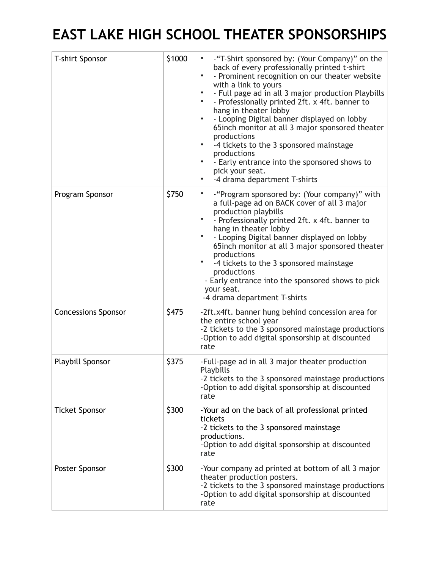## **EAST LAKE HIGH SCHOOL THEATER SPONSORSHIPS**

| T-shirt Sponsor            | \$1000 | -"T-Shirt sponsored by: (Your Company)" on the<br>$\bullet$<br>back of every professionally printed t-shirt<br>$\bullet$<br>- Prominent recognition on our theater website<br>with a link to yours<br>- Full page ad in all 3 major production Playbills<br>$\bullet$<br>- Professionally printed 2ft. x 4ft. banner to<br>$\bullet$<br>hang in theater lobby<br>- Looping Digital banner displayed on lobby<br>$\bullet$<br>65inch monitor at all 3 major sponsored theater<br>productions<br>-4 tickets to the 3 sponsored mainstage<br>$\bullet$<br>productions<br>- Early entrance into the sponsored shows to<br>$\bullet$<br>pick your seat.<br>-4 drama department T-shirts<br>$\bullet$ |
|----------------------------|--------|-------------------------------------------------------------------------------------------------------------------------------------------------------------------------------------------------------------------------------------------------------------------------------------------------------------------------------------------------------------------------------------------------------------------------------------------------------------------------------------------------------------------------------------------------------------------------------------------------------------------------------------------------------------------------------------------------|
| Program Sponsor            | \$750  | ٠<br>-"Program sponsored by: (Your company)" with<br>a full-page ad on BACK cover of all 3 major<br>production playbills<br>- Professionally printed 2ft. x 4ft. banner to<br>hang in theater lobby<br>- Looping Digital banner displayed on lobby<br>٠<br>65 inch monitor at all 3 major sponsored theater<br>productions<br>-4 tickets to the 3 sponsored mainstage<br>productions<br>- Early entrance into the sponsored shows to pick<br>your seat.<br>-4 drama department T-shirts                                                                                                                                                                                                         |
| <b>Concessions Sponsor</b> | \$475  | -2ft.x4ft. banner hung behind concession area for<br>the entire school year<br>-2 tickets to the 3 sponsored mainstage productions<br>-Option to add digital sponsorship at discounted<br>rate                                                                                                                                                                                                                                                                                                                                                                                                                                                                                                  |
| Playbill Sponsor           | \$375  | -Full-page ad in all 3 major theater production<br>Playbills<br>-2 tickets to the 3 sponsored mainstage productions<br>-Option to add digital sponsorship at discounted<br>rate                                                                                                                                                                                                                                                                                                                                                                                                                                                                                                                 |
| <b>Ticket Sponsor</b>      | \$300  | -Your ad on the back of all professional printed<br>tickets<br>-2 tickets to the 3 sponsored mainstage<br>productions.<br>-Option to add digital sponsorship at discounted<br>rate                                                                                                                                                                                                                                                                                                                                                                                                                                                                                                              |
| Poster Sponsor             | \$300  | -Your company ad printed at bottom of all 3 major<br>theater production posters.<br>-2 tickets to the 3 sponsored mainstage productions<br>-Option to add digital sponsorship at discounted<br>rate                                                                                                                                                                                                                                                                                                                                                                                                                                                                                             |